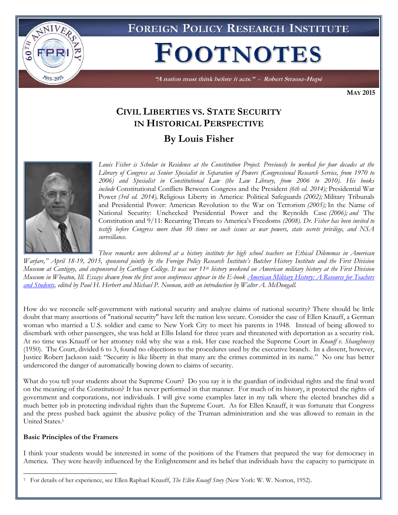

**FOREIGN POLICY RESEARCH INSTITUTE** 

# **FOOTNOTES**

"A nation must think before it acts." - Robert Strausz-Hupé

**MAY 2015**

## **CIVIL LIBERTIES VS. STATE SECURITY IN HISTORICAL PERSPECTIVE By Louis Fisher**



*Louis Fisher is Scholar in Residence at the Constitution Project. Previously he worked for four decades at the Library of Congress as Senior Specialist in Separation of Powers (Congressional Research Service, from 1970 to 2006) and Specialist in Constitutional Law (the Law Library, from 2006 to 2010). His books include* Constitutional Conflicts Between Congress and the President *(6th ed. 2014);* Presidential War Power *(3rd ed. 2014),* Religious Liberty in America: Political Safeguards *(2002);* Military Tribunals and Presidential Power: American Revolution to the War on Terrorism *(2005);* In the Name of National Security: Unchecked Presidential Power and the Reynolds Case *(2006); and* The Constitution and 9/11: Recurring Threats to America's Freedoms *(2008). Dr. Fisher has been invited to testify before Congress more than 50 times on such issues as war powers, state secrets privilege, and NSA surveillance.* 

*These remarks were delivered at a history institute for high school teachers on Ethical Dilemmas in American Warfare," April 18-19, 2015, sponsored jointly by the Foreign Policy Research Institute's Butcher History Institute and the First Division Museum at Cantigny, and cosponsored by Carthage College. It was our 11th history weekend on American military history at the First Division Museum in Wheaton, Ill. Essays drawn from the first seven conferences appear in the E-book [American Military History: A Resource for Teachers](http://www.fpri.org/articles/2013/07/american-military-history-resource-teachers-and-students)  [and Students,](http://www.fpri.org/articles/2013/07/american-military-history-resource-teachers-and-students) edited by Paul H. Herbert and Michael P. Noonan, with an introduction by Walter A. McDougall.*

How do we reconcile self-government with national security and analyze claims of national security? There should be little doubt that many assertions of "national security" have left the nation less secure. Consider the case of Ellen Knauff, a German woman who married a U.S. soldier and came to New York City to meet his parents in 1948. Instead of being allowed to disembark with other passengers, she was held at Ellis Island for three years and threatened with deportation as a security risk. At no time was Knauff or her attorney told why she was a risk. Her case reached the Supreme Court in *Knauff v. Shaughnessy* (1950). The Court, divided 6 to 3, found no objections to the procedures used by the executive branch. In a dissent, however, Justice Robert Jackson said: "Security is like liberty in that many are the crimes committed in its name." No one has better underscored the danger of automatically bowing down to claims of security.

What do you tell your students about the Supreme Court? Do you say it is the guardian of individual rights and the final word on the meaning of the Constitution? It has never performed in that manner. For much of its history, it protected the rights of government and corporations, not individuals. I will give some examples later in my talk where the elected branches did a much better job in protecting individual rights than the Supreme Court. As for Ellen Knauff, it was fortunate that Congress and the press pushed back against the abusive policy of the Truman administration and she was allowed to remain in the United States.<sup>1</sup>

#### **Basic Principles of the Framers**

 $\overline{a}$ 

I think your students would be interested in some of the positions of the Framers that prepared the way for democracy in America. They were heavily influenced by the Enlightenment and its belief that individuals have the capacity to participate in

<sup>1</sup> For details of her experience, see Ellen Raphael Knauff, *The Ellen Knauff Story* (New York: W. W. Norton, 1952).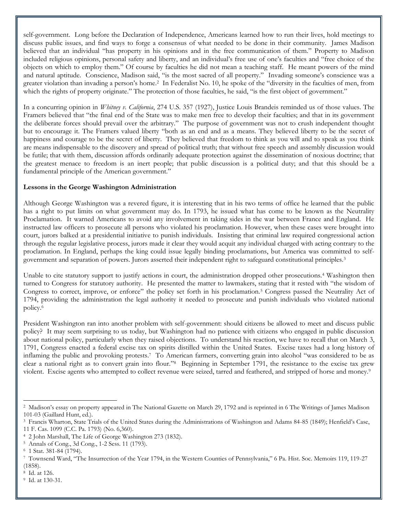self-government. Long before the Declaration of Independence, Americans learned how to run their lives, hold meetings to discuss public issues, and find ways to forge a consensus of what needed to be done in their community. James Madison believed that an individual "has property in his opinions and in the free communication of them." Property to Madison included religious opinions, personal safety and liberty, and an individual's free use of one's faculties and "free choice of the objects on which to employ them." Of course by faculties he did not mean a teaching staff. He meant powers of the mind and natural aptitude. Conscience, Madison said, "is the most sacred of all property." Invading someone's conscience was a greater violation than invading a person's home.<sup>2</sup> In Federalist No. 10, he spoke of the "diversity in the faculties of men, from which the rights of property originate." The protection of those faculties, he said, "is the first object of government."

In a concurring opinion in *Whitney v. California*, 274 U.S. 357 (1927), Justice Louis Brandeis reminded us of those values. The Framers believed that "the final end of the State was to make men free to develop their faculties; and that in its government the deliberate forces should prevail over the arbitrary." The purpose of government was not to crush independent thought but to encourage it. The Framers valued liberty "both as an end and as a means. They believed liberty to be the secret of happiness and courage to be the secret of liberty. They believed that freedom to think as you will and to speak as you think are means indispensable to the discovery and spread of political truth; that without free speech and assembly discussion would be futile; that with them, discussion affords ordinarily adequate protection against the dissemination of noxious doctrine; that the greatest menace to freedom is an inert people; that public discussion is a political duty; and that this should be a fundamental principle of the American government."

#### **Lessons in the George Washington Administration**

Although George Washington was a revered figure, it is interesting that in his two terms of office he learned that the public has a right to put limits on what government may do. In 1793, he issued what has come to be known as the Neutrality Proclamation. It warned Americans to avoid any involvement in taking sides in the war between France and England. He instructed law officers to prosecute all persons who violated his proclamation. However, when these cases were brought into court, jurors balked at a presidential initiative to punish individuals. Insisting that criminal law required congressional action through the regular legislative process, jurors made it clear they would acquit any individual charged with acting contrary to the proclamation. In England, perhaps the king could issue legally binding proclamations, but America was committed to selfgovernment and separation of powers. Jurors asserted their independent right to safeguard constitutional principles.<sup>3</sup>

Unable to cite statutory support to justify actions in court, the administration dropped other prosecutions.<sup>4</sup> Washington then turned to Congress for statutory authority. He presented the matter to lawmakers, stating that it rested with "the wisdom of Congress to correct, improve, or enforce" the policy set forth in his proclamation.<sup>5</sup> Congress passed the Neutrality Act of 1794, providing the administration the legal authority it needed to prosecute and punish individuals who violated national policy.<sup>6</sup>

President Washington ran into another problem with self-government: should citizens be allowed to meet and discuss public policy? It may seem surprising to us today, but Washington had no patience with citizens who engaged in public discussion about national policy, particularly when they raised objections. To understand his reaction, we have to recall that on March 3, 1791, Congress enacted a federal excise tax on spirits distilled within the United States. Excise taxes had a long history of inflaming the public and provoking protests.<sup>7</sup> To American farmers, converting grain into alcohol "was considered to be as clear a national right as to convert grain into flour."<sup>8</sup> Beginning in September 1791, the resistance to the excise tax grew violent. Excise agents who attempted to collect revenue were seized, tarred and feathered, and stripped of horse and money.<sup>9</sup>

<sup>2</sup> Madison's essay on property appeared in The National Gazette on March 29, 1792 and is reprinted in 6 The Writings of James Madison 101-03 (Gaillard Hunt, ed.).

<sup>3</sup> Francis Wharton, State Trials of the United States during the Administrations of Washington and Adams 84-85 (1849); Henfield's Case, 11 F. Cas. 1099 (C.C. Pa. 1793) (No. 6,360).

<sup>4</sup> 2 John Marshall, The Life of George Washington 273 (1832).

<sup>5</sup> Annals of Cong., 3d Cong., 1-2 Sess. 11 (1793).

<sup>6</sup> 1 Stat. 381-84 (1794).

<sup>7</sup> Townsend Ward, "The Insurrection of the Year 1794, in the Western Counties of Pennsylvania," 6 Pa. Hist. Soc. Memoirs 119, 119-27 (1858).

<sup>8</sup> Id. at 126.

<sup>9</sup> Id. at 130-31.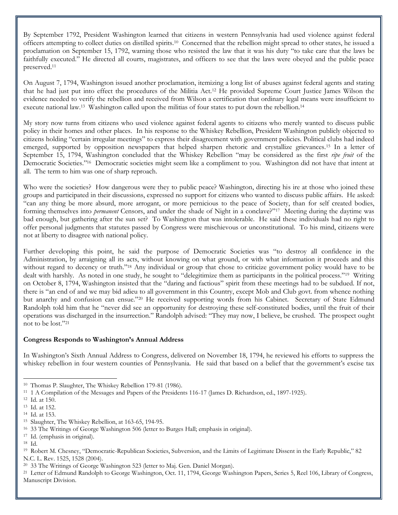By September 1792, President Washington learned that citizens in western Pennsylvania had used violence against federal officers attempting to collect duties on distilled spirits.<sup>10</sup> Concerned that the rebellion might spread to other states, he issued a proclamation on September 15, 1792, warning those who resisted the law that it was his duty "to take care that the laws be faithfully executed." He directed all courts, magistrates, and officers to see that the laws were obeyed and the public peace preserved.<sup>11</sup>

On August 7, 1794, Washington issued another proclamation, itemizing a long list of abuses against federal agents and stating that he had just put into effect the procedures of the Militia Act.<sup>12</sup> He provided Supreme Court Justice James Wilson the evidence needed to verify the rebellion and received from Wilson a certification that ordinary legal means were insufficient to execute national law.<sup>13</sup> Washington called upon the militias of four states to put down the rebellion.<sup>14</sup>

My story now turns from citizens who used violence against federal agents to citizens who merely wanted to discuss public policy in their homes and other places. In his response to the Whiskey Rebellion, President Washington publicly objected to citizens holding "certain irregular meetings" to express their disagreement with government policies. Political clubs had indeed emerged, supported by opposition newspapers that helped sharpen rhetoric and crystallize grievances.<sup>15</sup> In a letter of September 15, 1794, Washington concluded that the Whiskey Rebellion "may be considered as the first *ripe fruit* of the Democratic Societies."<sup>16</sup> Democratic societies might seem like a compliment to you. Washington did not have that intent at all. The term to him was one of sharp reproach.

Who were the societies? How dangerous were they to public peace? Washington, directing his ire at those who joined these groups and participated in their discussions, expressed no support for citizens who wanted to discuss public affairs. He asked: "can any thing be more absurd, more arrogant, or more pernicious to the peace of Society, than for self created bodies, forming themselves into *permanent* Censors, and under the shade of Night in a conclave?"<sup>17</sup> Meeting during the daytime was bad enough, but gathering after the sun set? To Washington that was intolerable. He said these individuals had no right to offer personal judgments that statutes passed by Congress were mischievous or unconstitutional. To his mind, citizens were not at liberty to disagree with national policy.

Further developing this point, he said the purpose of Democratic Societies was "to destroy all confidence in the Administration, by arraigning all its acts, without knowing on what ground, or with what information it proceeds and this without regard to decency or truth."<sup>18</sup> Any individual or group that chose to criticize government policy would have to be dealt with harshly. As noted in one study, he sought to "delegitimize them as participants in the political process."<sup>19</sup> Writing on October 8, 1794, Washington insisted that the "daring and factious" spirit from these meetings had to be subdued. If not, there is "an end of and we may bid adieu to all government in this Country, except Mob and Club govt. from whence nothing but anarchy and confusion can ensue."<sup>20</sup> He received supporting words from his Cabinet. Secretary of State Edmund Randolph told him that he "never did see an opportunity for destroying these self-constituted bodies, until the fruit of their operations was discharged in the insurrection." Randolph advised: "They may now, I believe, be crushed. The prospect ought not to be lost."<sup>21</sup>

#### **Congress Responds to Washington's Annual Address**

In Washington's Sixth Annual Address to Congress, delivered on November 18, 1794, he reviewed his efforts to suppress the whiskey rebellion in four western counties of Pennsylvania. He said that based on a belief that the government's excise tax

<sup>10</sup> Thomas P. Slaughter, The Whiskey Rebellion 179-81 (1986).

<sup>11</sup> 1 A Compilation of the Messages and Papers of the Presidents 116-17 (James D. Richardson, ed., 1897-1925).

<sup>12</sup> Id. at 150.

<sup>13</sup> Id. at 152.

<sup>14</sup> Id. at 153.

<sup>15</sup> Slaughter, The Whiskey Rebellion, at 163-65, 194-95.

<sup>16</sup> 33 The Writings of George Washington 506 (letter to Burges Hall; emphasis in original).

<sup>17</sup> Id. (emphasis in original).

<sup>18</sup> Id.

<sup>19</sup> Robert M. Chesney, "Democratic-Republican Societies, Subversion, and the Limits of Legitimate Dissent in the Early Republic," 82 N.C. L. Rev. 1525, 1528 (2004).

<sup>20</sup> 33 The Writings of George Washington 523 (letter to Maj. Gen. Daniel Morgan).

<sup>&</sup>lt;sup>21</sup> Letter of Edmund Randolph to George Washington, Oct. 11, 1794, George Washington Papers, Series 5, Reel 106, Library of Congress, Manuscript Division.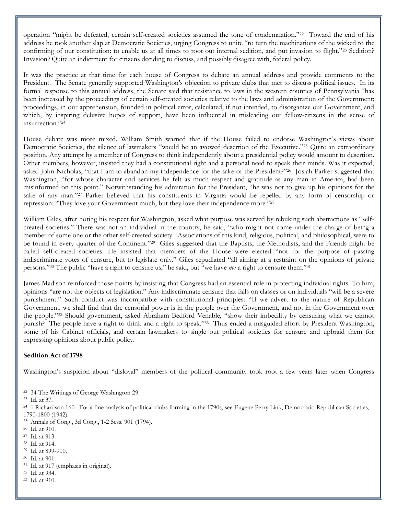operation "might be defeated, certain self-created societies assumed the tone of condemnation."<sup>22</sup> Toward the end of his address he took another slap at Democratic Societies, urging Congress to unite "to turn the machinations of the wicked to the confirming of our constitution: to enable us at all times to root out internal sedition, and put invasion to flight."<sup>23</sup> Sedition? Invasion? Quite an indictment for citizens deciding to discuss, and possibly disagree with, federal policy.

It was the practice at that time for each house of Congress to debate an annual address and provide comments to the President. The Senate generally supported Washington's objection to private clubs that met to discuss political issues. In its formal response to this annual address, the Senate said that resistance to laws in the western counties of Pennsylvania "has been increased by the proceedings of certain self-created societies relative to the laws and administration of the Government; proceedings, in our apprehension, founded in political error, calculated, if not intended, to disorganize our Government, and which, by inspiring delusive hopes of support, have been influential in misleading our fellow-citizens in the sense of insurrection."<sup>24</sup>

House debate was more mixed. William Smith warned that if the House failed to endorse Washington's views about Democratic Societies, the silence of lawmakers "would be an avowed desertion of the Executive."<sup>25</sup> Quite an extraordinary position. Any attempt by a member of Congress to think independently about a presidential policy would amount to desertion. Other members, however, insisted they had a constitutional right and a personal need to speak their minds. Was it expected, asked John Nicholas, "that I am to abandon my independence for the sake of the President?"<sup>26</sup> Josiah Parker suggested that Washington, "for whose character and services he felt as much respect and gratitude as any man in America, had been misinformed on this point." Notwithstanding his admiration for the President, "he was not to give up his opinions for the sake of any man."<sup>27</sup> Parker believed that his constituents in Virginia would be repelled by any form of censorship or repression: "They love your Government much, but they love their independence more."<sup>28</sup>

William Giles, after noting his respect for Washington, asked what purpose was served by rebuking such abstractions as "selfcreated societies." There was not an individual in the country, he said, "who might not come under the charge of being a member of some one or the other self-created society. Associations of this kind, religious, political, and philosophical, were to be found in every quarter of the Continent."<sup>29</sup> Giles suggested that the Baptists, the Methodists, and the Friends might be called self-created societies. He insisted that members of the House were elected "not for the purpose of passing indiscriminate votes of censure, but to legislate only." Giles repudiated "all aiming at a restraint on the opinions of private persons."<sup>30</sup> The public "have a right to censure us," he said, but "we have *not* a right to censure them."<sup>31</sup>

James Madison reinforced those points by insisting that Congress had an essential role in protecting individual rights. To him, opinions "are not the objects of legislation." Any indiscriminate censure that falls on classes or on individuals "will be a severe punishment." Such conduct was incompatible with constitutional principles: "If we advert to the nature of Republican Government, we shall find that the censorial power is in the people over the Government, and not in the Government over the people."<sup>32</sup> Should government, asked Abraham Bedford Venable, "show their imbecility by censuring what we cannot punish? The people have a right to think and a right to speak."<sup>33</sup> Thus ended a misguided effort by President Washington, some of his Cabinet officials, and certain lawmakers to single out political societies for censure and upbraid them for expressing opinions about public policy.

#### **Sedition Act of 1798**

Washington's suspicion about "disloyal" members of the political community took root a few years later when Congress

- 30 Id. at 901.
- 31 Id. at 917 (emphasis in original).
- 32 Id. at 934.
- 33 Id. at 910.

 $\overline{a}$ 22 34 The Writings of George Washington 29.

<sup>23</sup> Id. at 37.

<sup>&</sup>lt;sup>24</sup> 1 Richardson 160. For a fine analysis of political clubs forming in the 1790s, see Eugene Perry Link, Democratic-Republican Societies, 1790-1800 (1942).

<sup>25</sup> Annals of Cong., 3d Cong., 1-2 Sess. 901 (1794).

<sup>26</sup> Id. at 910.

<sup>27</sup> Id. at 913.

<sup>28</sup> Id. at 914.

<sup>29</sup> Id. at 899-900.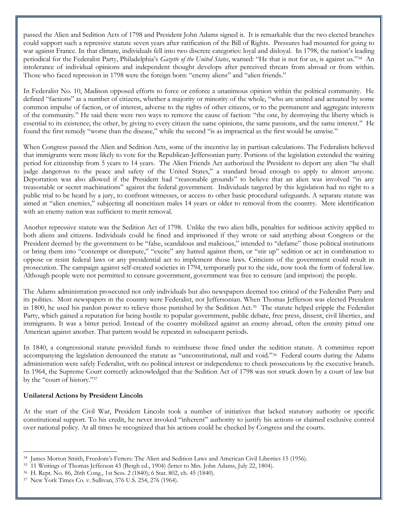passed the Alien and Sedition Acts of 1798 and President John Adams signed it. It is remarkable that the two elected branches could support such a repressive statute seven years after ratification of the Bill of Rights. Pressures had mounted for going to war against France. In that climate, individuals fell into two discrete categories: loyal and disloyal. In 1798, the nation's leading periodical for the Federalist Party, Philadelphia's *Gazette of the United States*, warned: "He that is not for us, is against us."<sup>34</sup> An intolerance of individual opinions and independent thought develops after perceived threats from abroad or from within. Those who faced repression in 1798 were the foreign born: "enemy aliens" and "alien friends."

In Federalist No. 10, Madison opposed efforts to force or enforce a unanimous opinion within the political community. He defined "factions" as a number of citizens, whether a majority or minority of the whole, "who are united and actuated by some common impulse of faction, or of interest, adverse to the rights of other citizens, or to the permanent and aggregate interests of the community." He said there were two ways to remove the cause of faction: "the one, by destroying the liberty which is essential to its existence; the other, by giving to every citizen the same opinions, the same passions, and the same interest." He found the first remedy "worse than the disease," while the second "is as impractical as the first would be unwise."

When Congress passed the Alien and Sedition Acts, some of the incentive lay in partisan calculations. The Federalists believed that immigrants were more likely to vote for the Republican-Jeffersonian party. Portions of the legislation extended the waiting period for citizenship from 5 years to 14 years. The Alien Friends Act authorized the President to deport any alien "he shall judge dangerous to the peace and safety of the United States," a standard broad enough to apply to almost anyone. Deportation was also allowed if the President had "reasonable grounds" to believe that an alien was involved "in any treasonable or secret machinations" against the federal government. Individuals targeted by this legislation had no right to a public trial to be heard by a jury, to confront witnesses, or access to other basic procedural safeguards. A separate statute was aimed at "alien enemies," subjecting all noncitizen males 14 years or older to removal from the country. Mere identification with an enemy nation was sufficient to merit removal.

Another repressive statute was the Sedition Act of 1798. Unlike the two alien bills, penalties for seditious activity applied to both aliens and citizens. Individuals could be fined and imprisoned if they wrote or said anything about Congress or the President deemed by the government to be "false, scandalous and malicious," intended to "defame" those political institutions or bring them into "contempt or disrepute," "excite" any hatred against them, or "stir up" sedition or act in combination to oppose or resist federal laws or any presidential act to implement those laws. Criticism of the government could result in prosecution. The campaign against self-created societies in 1794, temporarily put to the side, now took the form of federal law. Although people were not permitted to censure government, government was free to censure (and imprison) the people.

The Adams administration prosecuted not only individuals but also newspapers deemed too critical of the Federalist Party and its polities. Most newspapers in the country were Federalist, not Jeffersonian. When Thomas Jefferson was elected President in 1800, he used his pardon power to relieve those punished by the Sedition Act.<sup>35</sup> The statute helped cripple the Federalist Party, which gained a reputation for being hostile to popular government, public debate, free press, dissent, civil liberties, and immigrants. It was a bitter period. Instead of the country mobilized against an enemy abroad, often the enmity pitted one American against another. That pattern would be repeated in subsequent periods.

In 1840, a congressional statute provided funds to reimburse those fined under the sedition statute. A committee report accompanying the legislation denounced the statute as "unconstitutional, null and void."<sup>36</sup> Federal courts during the Adams administration were safely Federalist, with no political interest or independence to check prosecutions by the executive branch. In 1964, the Supreme Court correctly acknowledged that the Sedition Act of 1798 was not struck down by a court of law but by the "court of history."<sup>37</sup>

#### **Unilateral Actions by President Lincoln**

l

At the start of the Civil War, President Lincoln took a number of initiatives that lacked statutory authority or specific constitutional support. To his credit, he never invoked "inherent" authority to justify his actions or claimed exclusive control over national policy. At all times he recognized that his actions could be checked by Congress and the courts.

<sup>34</sup> James Morton Smith, Freedom's Fetters: The Alien and Sedition Laws and American Civil Liberties 15 (1956).

<sup>35</sup> 11 Writings of Thomas Jefferson 43 (Bergh ed., 1904) (letter to Mrs. John Adams, July 22, 1804).

<sup>36</sup> H. Rept. No. 86, 26th Cong., 1st Sess. 2 (1840); 6 Stat. 802, ch. 45 (1840).

<sup>37</sup> New York Times Co. v. Sullivan, 376 U.S. 254, 276 (1964).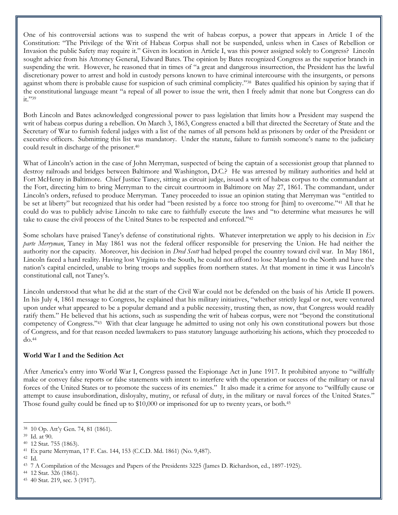One of his controversial actions was to suspend the writ of habeas corpus, a power that appears in Article I of the Constitution: "The Privilege of the Writ of Habeas Corpus shall not be suspended, unless when in Cases of Rebellion or Invasion the public Safety may require it." Given its location in Article I, was this power assigned solely to Congress? Lincoln sought advice from his Attorney General, Edward Bates. The opinion by Bates recognized Congress as the superior branch in suspending the writ. However, he reasoned that in times of "a great and dangerous insurrection, the President has the lawful discretionary power to arrest and hold in custody persons known to have criminal intercourse with the insurgents, or persons against whom there is probable cause for suspicion of such criminal complicity."<sup>38</sup> Bates qualified his opinion by saying that if the constitutional language meant "a repeal of all power to issue the writ, then I freely admit that none but Congress can do it."39

Both Lincoln and Bates acknowledged congressional power to pass legislation that limits how a President may suspend the writ of habeas corpus during a rebellion. On March 3, 1863, Congress enacted a bill that directed the Secretary of State and the Secretary of War to furnish federal judges with a list of the names of all persons held as prisoners by order of the President or executive officers. Submitting this list was mandatory. Under the statute, failure to furnish someone's name to the judiciary could result in discharge of the prisoner.<sup>40</sup>

What of Lincoln's action in the case of John Merryman, suspected of being the captain of a secessionist group that planned to destroy railroads and bridges between Baltimore and Washington, D.C.? He was arrested by military authorities and held at Fort McHenry in Baltimore. Chief Justice Taney, sitting as circuit judge, issued a writ of habeas corpus to the commandant at the Fort, directing him to bring Merryman to the circuit courtroom in Baltimore on May 27, 1861. The commandant, under Lincoln's orders, refused to produce Merryman. Taney proceeded to issue an opinion stating that Merryman was "entitled to be set at liberty" but recognized that his order had "been resisted by a force too strong for [him] to overcome."<sup>41</sup> All that he could do was to publicly advise Lincoln to take care to faithfully execute the laws and "to determine what measures he will take to cause the civil process of the United States to be respected and enforced."<sup>42</sup>

Some scholars have praised Taney's defense of constitutional rights. Whatever interpretation we apply to his decision in *Ex parte Merryman*, Taney in May 1861 was not the federal officer responsible for preserving the Union. He had neither the authority nor the capacity. Moreover, his decision in *Dred Scott* had helped propel the country toward civil war. In May 1861, Lincoln faced a hard reality. Having lost Virginia to the South, he could not afford to lose Maryland to the North and have the nation's capital encircled, unable to bring troops and supplies from northern states. At that moment in time it was Lincoln's constitutional call, not Taney's.

Lincoln understood that what he did at the start of the Civil War could not be defended on the basis of his Article II powers. In his July 4, 1861 message to Congress, he explained that his military initiatives, "whether strictly legal or not, were ventured upon under what appeared to be a popular demand and a public necessity, trusting then, as now, that Congress would readily ratify them." He believed that his actions, such as suspending the writ of habeas corpus, were not "beyond the constitutional competency of Congress."<sup>43</sup> With that clear language he admitted to using not only his own constitutional powers but those of Congress, and for that reason needed lawmakers to pass statutory language authorizing his actions, which they proceeded to  $do.<sup>44</sup>$ 

#### **World War I and the Sedition Act**

After America's entry into World War I, Congress passed the Espionage Act in June 1917. It prohibited anyone to "willfully make or convey false reports or false statements with intent to interfere with the operation or success of the military or naval forces of the United States or to promote the success of its enemies." It also made it a crime for anyone to "willfully cause or attempt to cause insubordination, disloyalty, mutiny, or refusal of duty, in the military or naval forces of the United States." Those found guilty could be fined up to \$10,000 or imprisoned for up to twenty years, or both.<sup>45</sup>

 $\overline{a}$ 

44 12 Stat. 326 (1861).

<sup>38</sup> 10 Op. Att'y Gen. 74, 81 (1861).

<sup>39</sup> Id. at 90.

<sup>40</sup> 12 Stat. 755 (1863).

<sup>41</sup> Ex parte Merryman, 17 F. Cas. 144, 153 (C.C.D. Md. 1861) (No. 9,487).

<sup>42</sup> Id.

<sup>43</sup> 7 A Compilation of the Messages and Papers of the Presidents 3225 (James D. Richardson, ed., 1897-1925).

<sup>45</sup> 40 Stat. 219, sec. 3 (1917).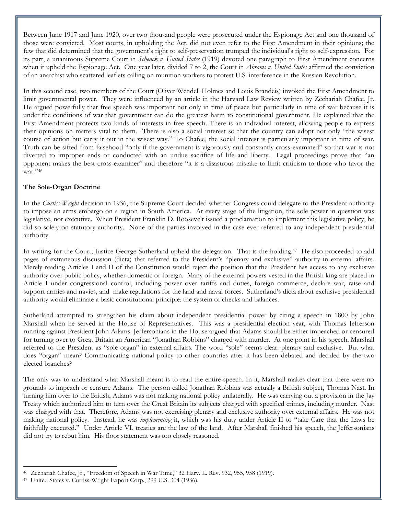Between June 1917 and June 1920, over two thousand people were prosecuted under the Espionage Act and one thousand of those were convicted. Most courts, in upholding the Act, did not even refer to the First Amendment in their opinions; the few that did determined that the government's right to self-preservation trumped the individual's right to self-expression. For its part, a unanimous Supreme Court in *Schenck v. United States* (1919) devoted one paragraph to First Amendment concerns when it upheld the Espionage Act. One year later, divided 7 to 2, the Court in *Abrams v. United States* affirmed the conviction of an anarchist who scattered leaflets calling on munition workers to protest U.S. interference in the Russian Revolution.

In this second case, two members of the Court (Oliver Wendell Holmes and Louis Brandeis) invoked the First Amendment to limit governmental power. They were influenced by an article in the Harvard Law Review written by Zechariah Chafee, Jr. He argued powerfully that free speech was important not only in time of peace but particularly in time of war because it is under the conditions of war that government can do the greatest harm to constitutional government. He explained that the First Amendment protects two kinds of interests in free speech. There is an individual interest, allowing people to express their opinions on matters vital to them. There is also a social interest so that the country can adopt not only "the wisest course of action but carry it out in the wisest way." To Chafee, the social interest is particularly important in time of war. Truth can be sifted from falsehood "only if the government is vigorously and constantly cross-examined" so that war is not diverted to improper ends or conducted with an undue sacrifice of life and liberty. Legal proceedings prove that "an opponent makes the best cross-examiner" and therefore "it is a disastrous mistake to limit criticism to those who favor the war."46

#### **The Sole-Organ Doctrine**

In the *Curtiss-Wright* decision in 1936, the Supreme Court decided whether Congress could delegate to the President authority to impose an arms embargo on a region in South America. At every stage of the litigation, the sole power in question was legislative, not executive. When President Franklin D. Roosevelt issued a proclamation to implement this legislative policy, he did so solely on statutory authority. None of the parties involved in the case ever referred to any independent presidential authority.

In writing for the Court, Justice George Sutherland upheld the delegation. That is the holding.<sup>47</sup> He also proceeded to add pages of extraneous discussion (dicta) that referred to the President's "plenary and exclusive" authority in external affairs. Merely reading Articles I and II of the Constitution would reject the position that the President has access to any exclusive authority over public policy, whether domestic or foreign. Many of the external powers vested in the British king are placed in Article I under congressional control, including power over tariffs and duties, foreign commerce, declare war, raise and support armies and navies, and make regulations for the land and naval forces. Sutherland's dicta about exclusive presidential authority would eliminate a basic constitutional principle: the system of checks and balances.

Sutherland attempted to strengthen his claim about independent presidential power by citing a speech in 1800 by John Marshall when he served in the House of Representatives. This was a presidential election year, with Thomas Jefferson running against President John Adams. Jeffersonians in the House argued that Adams should be either impeached or censured for turning over to Great Britain an American "Jonathan Robbins" charged with murder. At one point in his speech, Marshall referred to the President as "sole organ" in external affairs. The word "sole" seems clear: plenary and exclusive. But what does "organ" mean? Communicating national policy to other countries after it has been debated and decided by the two elected branches?

The only way to understand what Marshall meant is to read the entire speech. In it, Marshall makes clear that there were no grounds to impeach or censure Adams. The person called Jonathan Robbins was actually a British subject, Thomas Nast. In turning him over to the British, Adams was not making national policy unilaterally. He was carrying out a provision in the Jay Treaty which authorized him to turn over the Great Britain its subjects charged with specified crimes, including murder. Nast was charged with that. Therefore, Adams was not exercising plenary and exclusive authority over external affairs. He was not making national policy. Instead, he was *implementing* it, which was his duty under Article II to "take Care that the Laws be faithfully executed." Under Article VI, treaties are the law of the land. After Marshall finished his speech, the Jeffersonians did not try to rebut him. His floor statement was too closely reasoned.

 $\overline{a}$ 46 Zechariah Chafee, Jr., "Freedom of Speech in War Time," 32 Harv. L. Rev. 932, 955, 958 (1919).

<sup>47</sup> United States v. Curtiss-Wright Export Corp., 299 U.S. 304 (1936).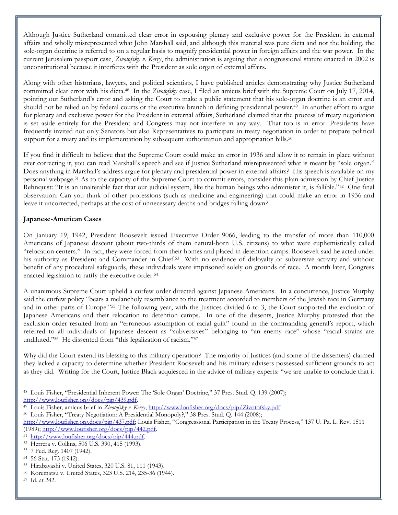Although Justice Sutherland committed clear error in espousing plenary and exclusive power for the President in external affairs and wholly misrepresented what John Marshall said, and although this material was pure dicta and not the holding, the sole-organ doctrine is referred to on a regular basis to magnify presidential power in foreign affairs and the war power. In the current Jerusalem passport case, *Zivotofsky v. Kerry*, the administration is arguing that a congressional statute enacted in 2002 is unconstitutional because it interferes with the President as sole organ of external affairs.

Along with other historians, lawyers, and political scientists, I have published articles demonstrating why Justice Sutherland committed clear error with his dicta.<sup>48</sup> In the *Zivotofsky* case, I filed an amicus brief with the Supreme Court on July 17, 2014, pointing out Sutherland's error and asking the Court to make a public statement that his sole-organ doctrine is an error and should not be relied on by federal courts or the executive branch in defining presidential power.<sup>49</sup> In another effort to argue for plenary and exclusive power for the President in external affairs, Sutherland claimed that the process of treaty negotiation is set aside entirely for the President and Congress may not interfere in any way. That too is in error. Presidents have frequently invited not only Senators but also Representatives to participate in treaty negotiation in order to prepare political support for a treaty and its implementation by subsequent authorization and appropriation bills.<sup>50</sup>

If you find it difficult to believe that the Supreme Court could make an error in 1936 and allow it to remain in place without ever correcting it, you can read Marshall's speech and see if Justice Sutherland misrepresented what is meant by "sole organ." Does anything in Marshall's address argue for plenary and presidential power in external affairs? His speech is available on my personal webpage.<sup>51</sup> As to the capacity of the Supreme Court to commit errors, consider this plain admission by Chief Justice Rehnquist: "It is an unalterable fact that our judicial system, like the human beings who administer it, is fallible."<sup>52</sup> One final observation: Can you think of other professions (such as medicine and engineering) that could make an error in 1936 and leave it uncorrected, perhaps at the cost of unnecessary deaths and bridges falling down?

#### **Japanese-American Cases**

On January 19, 1942, President Roosevelt issued Executive Order 9066, leading to the transfer of more than 110,000 Americans of Japanese descent (about two-thirds of them natural-born U.S. citizens) to what were euphemistically called "relocation centers." In fact, they were forced from their homes and placed in detention camps. Roosevelt said he acted under his authority as President and Commander in Chief.<sup>53</sup> With no evidence of disloyalty or subversive activity and without benefit of any procedural safeguards, these individuals were imprisoned solely on grounds of race. A month later, Congress enacted legislation to ratify the executive order.<sup>54</sup>

A unanimous Supreme Court upheld a curfew order directed against Japanese Americans. In a concurrence, Justice Murphy said the curfew policy "bears a melancholy resemblance to the treatment accorded to members of the Jewish race in Germany and in other parts of Europe."<sup>55</sup> The following year, with the Justices divided 6 to 3, the Court supported the exclusion of Japanese Americans and their relocation to detention camps. In one of the dissents, Justice Murphy protested that the exclusion order resulted from an "erroneous assumption of racial guilt" found in the commanding general's report, which referred to all individuals of Japanese descent as "subversives" belonging to "an enemy race" whose "racial strains are undiluted."<sup>56</sup> He dissented from "this legalization of racism."<sup>57</sup>

Why did the Court extend its blessing to this military operation? The majority of Justices (and some of the dissenters) claimed they lacked a capacity to determine whether President Roosevelt and his military advisers possessed sufficient grounds to act as they did. Writing for the Court, Justice Black acquiesced in the advice of military experts: "we are unable to conclude that it

<sup>48</sup> Louis Fisher, "Presidential Inherent Power: The 'Sole Organ' Doctrine," 37 Pres. Stud. Q. 139 (2007); [http://www.loufisher.org/docs/pip/439.pdf.](http://www.loufisher.org/docs/pip/439.pdf)

<sup>49</sup> Louis Fisher, amicus brief in *Zivotofsky v. Kerry*; [http://www.loufisher.org/docs/pip/Zivotofsky.pdf.](http://www.loufisher.org/docs/pip/Zivotofsky.pdf)

<sup>50</sup> Louis Fisher, "Treaty Negotiation: A Presidential Monopoly?," 38 Pres. Stud. Q. 144 (2008);

<http://www.loufisher.org.docs/pip/437.pdf>; Louis Fisher, "Congressional Participation in the Treaty Process," 137 U. Pa. L. Rev. 1511  $(1989)$ ; [http://www.loufisher.org/docs/pip/442.pdf.](http://www.loufisher.org/docs/pip/442.pdf)

<sup>51</sup> [http://www.loufisher.org/docs/pip/444.pdf.](http://www.loufisher.org/docs/pip/444.pdf)

<sup>52</sup> Herrera v. Collins, 506 U.S. 390, 415 (1993).

<sup>53</sup> 7 Fed. Reg. 1407 (1942).

<sup>54</sup> 56 Stat. 173 (1942).

<sup>55</sup> Hirabayashi v. United States, 320 U.S. 81, 111 (1943).

<sup>56</sup> Korematsu v. United States, 323 U.S. 214, 235-36 (1944).

<sup>57</sup> Id. at 242.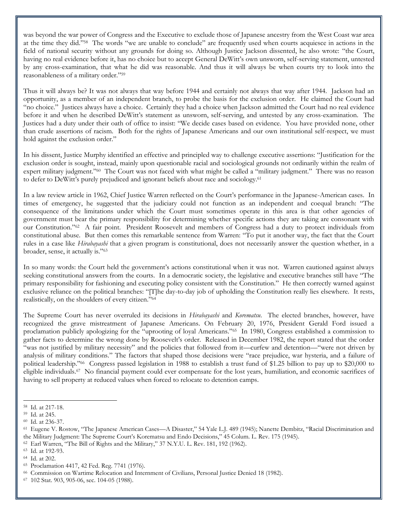was beyond the war power of Congress and the Executive to exclude those of Japanese ancestry from the West Coast war area at the time they did."<sup>58</sup> The words "we are unable to conclude" are frequently used when courts acquiesce in actions in the field of national security without any grounds for doing so. Although Justice Jackson dissented, he also wrote: "the Court, having no real evidence before it, has no choice but to accept General DeWitt's own unsworn, self-serving statement, untested by any cross-examination, that what he did was reasonable. And thus it will always be when courts try to look into the reasonableness of a military order."<sup>59</sup>

Thus it will always be? It was not always that way before 1944 and certainly not always that way after 1944. Jackson had an opportunity, as a member of an independent branch, to probe the basis for the exclusion order. He claimed the Court had "no choice." Justices always have a choice. Certainly they had a choice when Jackson admitted the Court had no real evidence before it and when he described DeWitt's statement as unsworn, self-serving, and untested by any cross-examination. The Justices had a duty under their oath of office to insist: "We decide cases based on evidence. You have provided none, other than crude assertions of racism. Both for the rights of Japanese Americans and our own institutional self-respect, we must hold against the exclusion order."

In his dissent, Justice Murphy identified an effective and principled way to challenge executive assertions: "Justification for the exclusion order is sought, instead, mainly upon questionable racial and sociological grounds not ordinarily within the realm of expert military judgment."<sup>60</sup> The Court was not faced with what might be called a "military judgment." There was no reason to defer to DeWitt's purely prejudiced and ignorant beliefs about race and sociology.<sup>61</sup>

In a law review article in 1962, Chief Justice Warren reflected on the Court's performance in the Japanese-American cases. In times of emergency, he suggested that the judiciary could not function as an independent and coequal branch: "The consequence of the limitations under which the Court must sometimes operate in this area is that other agencies of government must bear the primary responsibility for determining whether specific actions they are taking are consonant with our Constitution."<sup>62</sup> A fair point. President Roosevelt and members of Congress had a duty to protect individuals from constitutional abuse. But then comes this remarkable sentence from Warren: "To put it another way, the fact that the Court rules in a case like *Hirabayashi* that a given program is constitutional, does not necessarily answer the question whether, in a broader, sense, it actually is."<sup>63</sup>

In so many words: the Court held the government's actions constitutional when it was not. Warren cautioned against always seeking constitutional answers from the courts. In a democratic society, the legislative and executive branches still have "The primary responsibility for fashioning and executing policy consistent with the Constitution." He then correctly warned against exclusive reliance on the political branches: "[T]he day-to-day job of upholding the Constitution really lies elsewhere. It rests, realistically, on the shoulders of every citizen."<sup>64</sup>

The Supreme Court has never overruled its decisions in *Hirabayashi* and *Korematsu*. The elected branches, however, have recognized the grave mistreatment of Japanese Americans. On February 20, 1976, President Gerald Ford issued a proclamation publicly apologizing for the "uprooting of loyal Americans."<sup>65</sup> In 1980, Congress established a commission to gather facts to determine the wrong done by Roosevelt's order. Released in December 1982, the report stated that the order "was not justified by military necessity" and the policies that followed from it—curfew and detention—"were not driven by analysis of military conditions." The factors that shaped those decisions were "race prejudice, war hysteria, and a failure of political leadership."<sup>66</sup> Congress passed legislation in 1988 to establish a trust fund of \$1.25 billion to pay up to \$20,000 to eligible individuals.<sup>67</sup> No financial payment could ever compensate for the lost years, humiliation, and economic sacrifices of having to sell property at reduced values when forced to relocate to detention camps.

<sup>58</sup> Id. at 217-18.

<sup>59</sup> Id. at 245.

<sup>60</sup> Id. at 236-37.

<sup>61</sup> Eugene V. Rostow, "The Japanese American Cases—A Disaster," 54 Yale L.J. 489 (1945); Nanette Dembitz, "Racial Discrimination and the Military Judgment: The Supreme Court's Korematsu and Endo Decisions," 45 Colum. L. Rev. 175 (1945).

<sup>62</sup> Earl Warren, "The Bill of Rights and the Military," 37 N.Y.U. L. Rev. 181, 192 (1962).

<sup>63</sup> Id. at 192-93.

<sup>64</sup> Id. at 202.

<sup>65</sup> Proclamation 4417, 42 Fed. Reg. 7741 (1976).

<sup>66</sup> Commission on Wartime Relocation and Internment of Civilians, Personal Justice Denied 18 (1982).

<sup>67</sup> 102 Stat. 903, 905-06, sec. 104-05 (1988).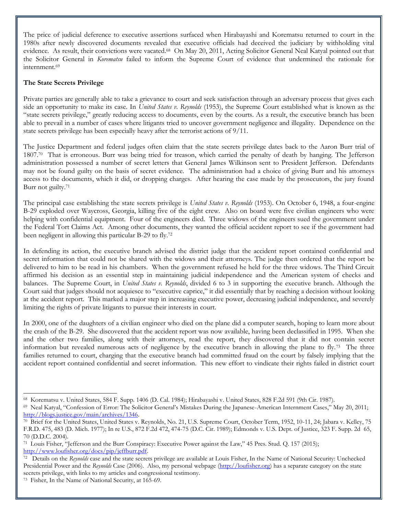The price of judicial deference to executive assertions surfaced when Hirabayashi and Korematsu returned to court in the 1980s after newly discovered documents revealed that executive officials had deceived the judiciary by withholding vital evidence. As result, their convictions were vacated.<sup>68</sup> On May 20, 2011, Acting Solicitor General Neal Katyal pointed out that the Solicitor General in *Korematsu* failed to inform the Supreme Court of evidence that undermined the rationale for internment.<sup>69</sup>

#### **The State Secrets Privilege**

Private parties are generally able to take a grievance to court and seek satisfaction through an adversary process that gives each side an opportunity to make its case. In *United States v. Reynolds* (1953), the Supreme Court established what is known as the "state secrets privilege," greatly reducing access to documents, even by the courts. As a result, the executive branch has been able to prevail in a number of cases where litigants tried to uncover government negligence and illegality. Dependence on the state secrets privilege has been especially heavy after the terrorist actions of 9/11.

The Justice Department and federal judges often claim that the state secrets privilege dates back to the Aaron Burr trial of 1807.<sup>70</sup> That is erroneous. Burr was being tried for treason, which carried the penalty of death by hanging. The Jefferson administration possessed a number of secret letters that General James Wilkinson sent to President Jefferson. Defendants may not be found guilty on the basis of secret evidence. The administration had a choice of giving Burr and his attorneys access to the documents, which it did, or dropping charges. After hearing the case made by the prosecutors, the jury found Burr not guilty.<sup>71</sup>

The principal case establishing the state secrets privilege is *United States v. Reynolds* (1953). On October 6, 1948, a four-engine B-29 exploded over Waycross, Georgia, killing five of the eight crew. Also on board were five civilian engineers who were helping with confidential equipment. Four of the engineers died. Three widows of the engineers sued the government under the Federal Tort Claims Act. Among other documents, they wanted the official accident report to see if the government had been negligent in allowing this particular B-29 to fly.<sup>72</sup>

In defending its action, the executive branch advised the district judge that the accident report contained confidential and secret information that could not be shared with the widows and their attorneys. The judge then ordered that the report be delivered to him to be read in his chambers. When the government refused he held for the three widows. The Third Circuit affirmed his decision as an essential step in maintaining judicial independence and the American system of checks and balances. The Supreme Court, in *United States v. Reynolds*, divided 6 to 3 in supporting the executive branch. Although the Court said that judges should not acquiesce to "executive caprice," it did essentially that by reaching a decision without looking at the accident report. This marked a major step in increasing executive power, decreasing judicial independence, and severely limiting the rights of private litigants to pursue their interests in court.

In 2000, one of the daughters of a civilian engineer who died on the plane did a computer search, hoping to learn more about the crash of the B-29. She discovered that the accident report was now available, having been declassified in 1995. When she and the other two families, along with their attorneys, read the report, they discovered that it did not contain secret information but revealed numerous acts of negligence by the executive branch in allowing the plane to fly.<sup>73</sup> The three families returned to court, charging that the executive branch had committed fraud on the court by falsely implying that the accident report contained confidential and secret information. This new effort to vindicate their rights failed in district court

 $\overline{a}$ 68 Korematsu v. United States, 584 F. Supp. 1406 (D. Cal. 1984); Hirabayashi v. United States, 828 F.2d 591 (9th Cir. 1987).

<sup>69</sup> Neal Katyal, "Confession of Error: The Solicitor General's Mistakes During the Japanese-American Internment Cases," May 20, 2011; [http://blogs.justice.gov/main/archives/1346.](http://blogs.justice.gov/main/archives/1346)

<sup>70</sup> Brief for the United States, United States v. Reynolds, No. 21, U.S. Supreme Court, October Term, 1952, 10-11, 24; Jabara v. Kelley, 75 F.R.D. 475, 483 (D. Mich. 1977); In re U.S., 872 F.2d 472, 474-75 (D.C. Cir. 1989); Edmonds v. U.S. Dept. of Justice, 323 F. Supp. 2d 65, 70 (D.D.C. 2004).

<sup>71</sup> Louis Fisher, "Jefferson and the Burr Conspiracy: Executive Power against the Law," 45 Pres. Stud. Q. 157 (2015); [http://www.loufisher.org/docs/pip/jeffburr.pdf.](http://www.loufisher.org/docs/pip/jeffburr.pdf)

<sup>72</sup> Details on the *Reynolds* case and the state secrets privilege are available at Louis Fisher, In the Name of National Security: Unchecked Presidential Power and the *Reynolds* Case (2006). Also, my personal webpage [\(http://loufisher.org\)](http://loufisher.org/) has a separate category on the state secrets privilege, with links to my articles and congressional testimony.

<sup>73</sup> Fisher, In the Name of National Security, at 165-69.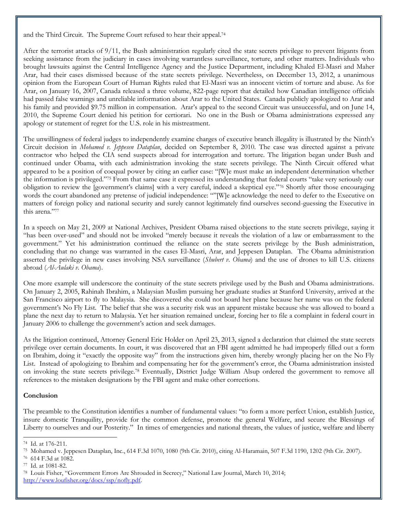and the Third Circuit. The Supreme Court refused to hear their appeal.<sup>74</sup>

After the terrorist attacks of 9/11, the Bush administration regularly cited the state secrets privilege to prevent litigants from seeking assistance from the judiciary in cases involving warrantless surveillance, torture, and other matters. Individuals who brought lawsuits against the Central Intelligence Agency and the Justice Department, including Khaled El-Masri and Maher Arar, had their cases dismissed because of the state secrets privilege. Nevertheless, on December 13, 2012, a unanimous opinion from the European Court of Human Rights ruled that El-Masri was an innocent victim of torture and abuse. As for Arar, on January 16, 2007, Canada released a three volume, 822-page report that detailed how Canadian intelligence officials had passed false warnings and unreliable information about Arar to the United States. Canada publicly apologized to Arar and his family and provided \$9.75 million in compensation. Arar's appeal to the second Circuit was unsuccessful, and on June 14, 2010, the Supreme Court denied his petition for certiorari. No one in the Bush or Obama administrations expressed any apology or statement of regret for the U.S. role in his mistreatment.

The unwillingness of federal judges to independently examine charges of executive branch illegality is illustrated by the Ninth's Circuit decision in *Mohamed v. Jeppesen Dataplan*, decided on September 8, 2010. The case was directed against a private contractor who helped the CIA send suspects abroad for interrogation and torture. The litigation began under Bush and continued under Obama, with each administration invoking the state secrets privilege. The Ninth Circuit offered what appeared to be a position of coequal power by citing an earlier case: "[W]e must make an independent determination whether the information is privileged."<sup>75</sup> From that same case it expressed its understanding that federal courts "take very seriously our obligation to review the [government's claims] with a very careful, indeed a skeptical eye."<sup>76</sup> Shortly after those encouraging words the court abandoned any pretense of judicial independence: ""[W]e acknowledge the need to defer to the Executive on matters of foreign policy and national security and surely cannot legitimately find ourselves second-guessing the Executive in this arena."<sup>77</sup>

In a speech on May 21, 2009 at National Archives, President Obama raised objections to the state secrets privilege, saying it "has been over-used" and should not be invoked "merely because it reveals the violation of a law or embarrassment to the government." Yet his administration continued the reliance on the state secrets privilege by the Bush administration, concluding that no change was warranted in the cases El-Masri, Arar, and Jeppesen Dataplan. The Obama administration asserted the privilege in new cases involving NSA surveillance (*Shubert v. Obama*) and the use of drones to kill U.S. citizens abroad (*Al-Aulaki v. Obama*).

One more example will underscore the continuity of the state secrets privilege used by the Bush and Obama administrations. On January 2, 2005, Rahinah Ibrahim, a Malaysian Muslim pursuing her graduate studies at Stanford University, arrived at the San Francisco airport to fly to Malaysia. She discovered she could not board her plane because her name was on the federal government's No Fly List. The belief that she was a security risk was an apparent mistake because she was allowed to board a plane the next day to return to Malaysia. Yet her situation remained unclear, forcing her to file a complaint in federal court in January 2006 to challenge the government's action and seek damages.

As the litigation continued, Attorney General Eric Holder on April 23, 2013, signed a declaration that claimed the state secrets privilege over certain documents. In court, it was discovered that an FBI agent admitted he had improperly filled out a form on Ibrahim, doing it "exactly the opposite way" from the instructions given him, thereby wrongly placing her on the No Fly List. Instead of apologizing to Ibrahim and compensating her for the government's error, the Obama administration insisted on invoking the state secrets privilege.<sup>78</sup> Eventually, District Judge William Alsup ordered the government to remove all references to the mistaken designations by the FBI agent and make other corrections.

### **Conclusion**

The preamble to the Constitution identifies a number of fundamental values: "to form a more perfect Union, establish Justice, insure domestic Tranquility, provide for the common defense, promote the general Welfare, and secure the Blessings of Liberty to ourselves and our Posterity." In times of emergencies and national threats, the values of justice, welfare and liberty

<sup>74</sup> Id. at 176-211.

<sup>75</sup> Mohamed v. Jeppesen Dataplan, Inc., 614 F.3d 1070, 1080 (9th Cir. 2010), citing Al-Haramain, 507 F.3d 1190, 1202 (9th Cir. 2007).

<sup>76</sup> 614 F.3d at 1082.

<sup>77</sup> Id. at 1081-82.

<sup>78</sup> Louis Fisher, "Government Errors Are Shrouded in Secrecy," National Law Journal, March 10, 2014;

[http://www.loufisher.org/docs/ssp/nofly.pdf.](http://www.loufisher.org/docs/ssp/nofly.pdf)